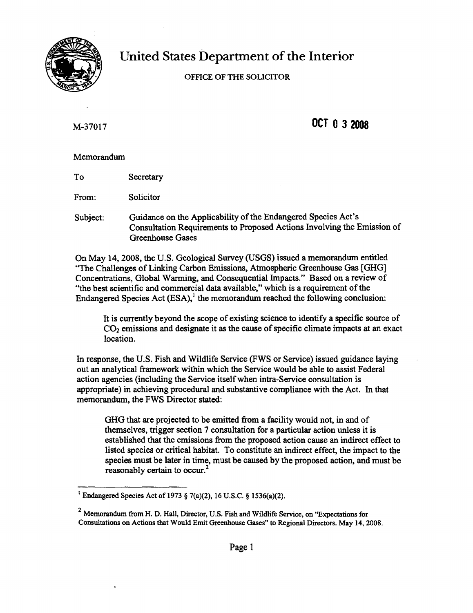

# United States Department of the Interior

## OFFICE OF THE SOUCITOR

M-37017

**OCT 032008**

## Memorandum

To **Secretary** 

From: Solicitor

Subject: Guidance on the Applicability of the Endangered Species Act's Consultation Requirements to Proposed Actions Involving the Emission of Greenhouse Gases

On May 14, 2008, the U.S. Geological Survey (USGS) issued a memorandum entitled "The Challenges of Linking Carbon Emissions, Atmospheric Greenhouse Gas [GHG] Concentrations, Global Warming, and Consequential Impacts." Based on a review of "the best scientific and commercial data available," which is a requirement of the Endangered Species Act  $(ESA)$ ,<sup>1</sup> the memorandum reached the following conclusion:

It is currently beyond the scope of existing science to identify a specific source of  $CO<sub>2</sub>$  emissions and designate it as the cause of specific climate impacts at an exact location.

In response, the U.S. Fish and Wildlife Service (FWS or Service) issued guidance laying out an analytical framework within which the Service would be able to assist Federal action agencies (including the Service itselfwhen intra-Service consultation is appropriate) in achieving procedural and substantive compliance with the Act. In that memorandum, the FWS Director stated:

GHG that are projected to be emitted from a facility would not, in and of themselves, trigger section 7 consultation for a particular action unless it is established that the emissions from the proposed action cause an indirect effect to listed species or critical habitat. To constitute an indirect effect, the impact to the species must be later in time, must be caused by the proposed action, and must be reasonably certain to occur.<sup>2</sup>

<sup>&</sup>lt;sup>1</sup> Endangered Species Act of 1973 § 7(a)(2), 16 U.S.C. § 1536(a)(2).

<sup>2</sup> Memorandum from H. D. Hall, Director, U.S. Fish and Wildlife Service, on "Expectations for Consultations on Actions that Would Emit Greenhouse Gases" to Regional Directors. May 14, 2008.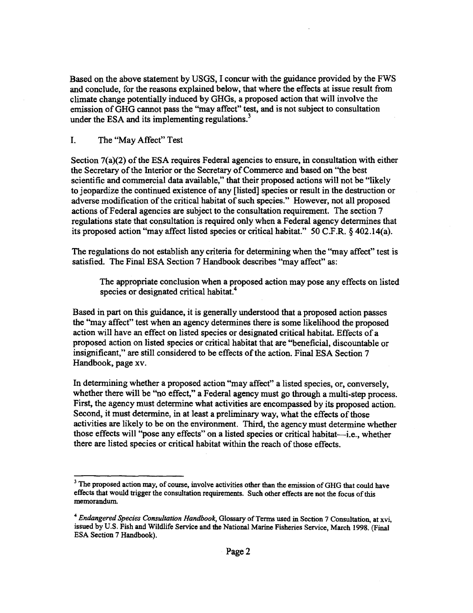Based on the above statement by USGS, I concur with the guidance provided by the FWS and conclude, for the reasons explained below, that where the effects at issue result from climate change potentially induced by GHGs, a proposed action that will involve the emission ofGHG cannot pass the "may affect" test, and is not subject to consultation under the ESA and its implementing regulations.<sup>3</sup>

#### I. The "May Affect" Test

Section  $7(a)(2)$  of the ESA requires Federal agencies to ensure, in consultation with either the Secretary of the Interior or the Secretary of Commerce and based on "the best" scientific and commercial data available," that their proposed actions will not be "likely to jeopardize the continued existence of any [listed] species or result in the destruction or adverse modification of the critical habitat of such species." However, not all proposed actions ofFederal agencies are subject to the consultation requirement. The section 7 regulations state that consultation is required only when a Federal agency determines that its proposed action "may affect listed species or critical habitat." 50 C.F.R. § 402.l4(a).

The regulations do not establish any criteria for determining when the "may affect" test is satisfied. The Final ESA Section 7 Handbook describes "may affect" as:

The appropriate conclusion when a proposed action may pose any effects on listed species or designated critical habitat.<sup>4</sup>

Based in part on this guidance, it is generally understood that a proposed action passes the "may affect" test when an agency determines there is some likelihood the proposed action will have an effect on listed species or designated critical habitat. Effects of a proposed action on listed species or critical habitat that are "beneficial, discountable or insignificant," are still considered to be effects of the action. Final ESA Section 7 Handbook, page xv.

In determining whether a proposed action "may affect" a listed species, or, conversely, whether there will be "no effect," a Federal agency must go through a multi-step process. First, the agency must determine what activities are encompassed by its proposed action. Second, it must determine, in at least a preliminary way, what the effects of those activities are likely to be on the environment. Third, the agency must determine whether those effects will "pose any effects" on a listed species or critical habitat-i.e., whether there are listed species or critical habitat within the reach of those effects.

<sup>&</sup>lt;sup>3</sup> The proposed action may, of course, involve activities other than the emission of GHG that could have effects that would trigger the consultation requirements. Such other effects are not the focus of this memorandum.

<sup>&</sup>lt;sup>4</sup> *Endangered Species Consultation Handbook*, Glossary of Terms used in Section 7 Consultation, at xvi, issued by U.S. Fish and Wildlife Service and the National Marine Fisheries Service, March 1998. (Final ESA Section 7 Handbook).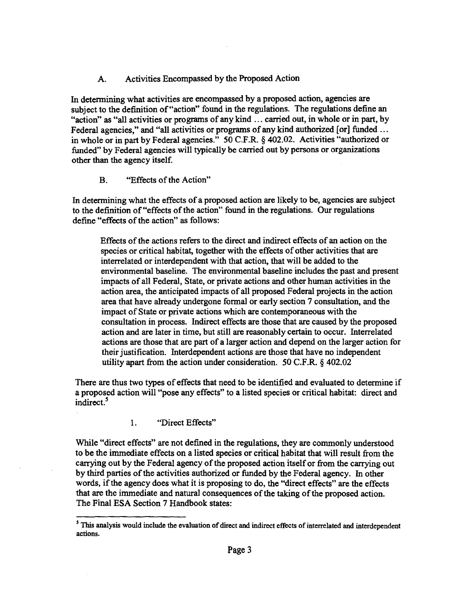## A. Activities Encompassed by the Proposed Action

In determining what activities are encompassed by a proposed action, agencies are subject to the definition of "action" found in the regulations. The regulations define an "action" as "all activities or programs of any kind ... carried out, in whole or in part, by Federal agencies," and "all activities or programs of any kind authorized [or] funded ... in whole or in part by Federal agencies." 50 C.F.R. § 402.02. Activities "authorized or funded" by Federal agencies will typically be carried out by persons or organizations other than the agency itself.

## B. "Effects of the Action"

In detennining what the effects of a proposed action are likely to be, agencies are subject to the definition of "effects of the action" found in the regulations. Our regulations define "effects of the action" as follows:

Effects of the actions refers to the direct and indirect effects of an action on the species or critical habitat, together with the effects of other activities that are interrelated or interdependent with that action, that will be added to the environmental baseline. The environmental baseline includes the past and present impacts of all Federal, State, or private actions and other human activities in the action area, the anticipated impacts of all proposed Federal projects in the action area that have already undergone fonnal or early section 7 consultation, and the impact of State or private actions which are contemporaneous with the consultation in process. Indirect effects are those that are caused by the proposed action and are later in time, but still are reasonably certain to occur. Interrelated actions are those that are part of a larger action and depend on the larger action for their justification. Interdependent actions are those that have no independent utility apart from the action under consideration. 50 C.F.R. § 402.02

There are thus two types of effects that need to be identified and evaluated to determine if a proposed action will "pose any effects" to a listed species or critical habitat: direct and indirect.<sup>5</sup>

1. "Direct Effects"

While "direct effects" are not defined in the regulations, they are commonly understood to be the immediate effects on a listed species or critical habitat that will result from the carrying out by the Federal agency of the proposed action itself or from the carrying out by third parties of the activities authorized or funded by the Federal agency. In other words, if the agency does what it is proposing to do, the "direct effects" are the effects that are the immediate and natural consequences ofthe taking ofthe proposed action. The Final ESA Section 7 Handbook states:

<sup>&</sup>lt;sup>5</sup> This analysis would include the evaluation of direct and indirect effects of interrelated and interdependent actions.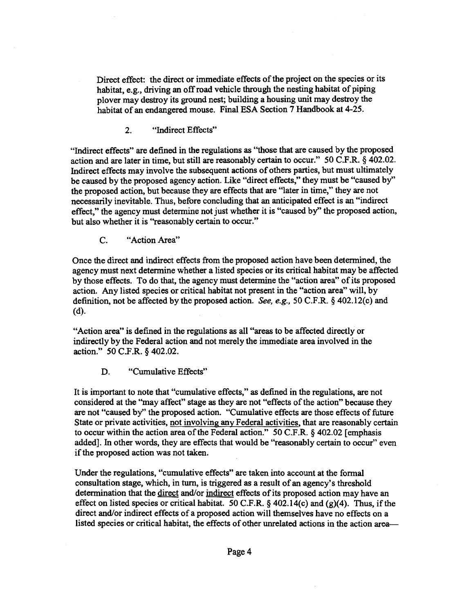Direct effect: the direct or immediate effects of the project on the species or its habitat, e.g., driving an off road vehicle through the nesting habitat of piping plover may destroy its ground nest; building a housing unit may destroy the habitat of an endangered mouse. Final ESA Section 7 Handbook at 4-25.

2. "Indirect Effects"

"Indirect effects" are defined in the regulations as ''those that are caused by the proposed action and are later in time, but still are reasonably certain to occur." 50 C.F.R. § 402.02. Indirect effects may involve the subsequent actions of others parties, but must ultimately be caused by the proposed agency action. Like "direct effects," they must be "caused by" the proposed action, but because they are effects that are "later in time," they are not necessarily inevitable. Thus, before concluding that an anticipated effect is an "indirect effect," the agency must determine not just whether it is "caused by" the proposed action, but also whether it is "reasonably certain to occur."

C. "Action Area"

Once the direct and indirect effects from the proposed action have been determined, the agency must next determine whether a listed species or its critical habitat may be affected by those effects. To do that, the agency must determine the "action area" of its proposed action. Any listed species or critical habitat not present in the "action area" will, by definition, not be affected by the proposed action. *See, e.g.,* 50 C.F.R. § 402.12(c) and (d).

"Action area" is defined in the regulations as all "areas to be affected directly or indirectly by the Federal action and not merely the immediate area involved in the action." 50 C.F.R. § 402.02.

D. "Cumulative Effects"

It is important to note that "cumulative effects," as defined in the regulations, are not considered at the "may affect" stage as they are not "effects of the action" because they are not "caused by" the proposed action. "Cumulative effects are those effects of future State or private activities, not involving any Federal activities, that are reasonably certain to occur within the action area of the Federal action." 50 C.F.R.  $\delta$  402.02 [emphasis added]. In other words, they are effects that would be "reasonably certain to occur" even if the proposed action was not taken.

Under the regulations, "cumulative effects" are taken into account at the formal consultation stage, which, in turn, is triggered as a result of an agency's threshold determination that the direct and/or indirect effects of its proposed action may have an effect on listed species or critical habitat. 50 C.F.R.  $\S$  402.14(c) and (g)(4). Thus, if the direct and/or indirect effects of a proposed action will themselves have no effects on a listed species or critical habitat, the effects of other unrelated actions in the action area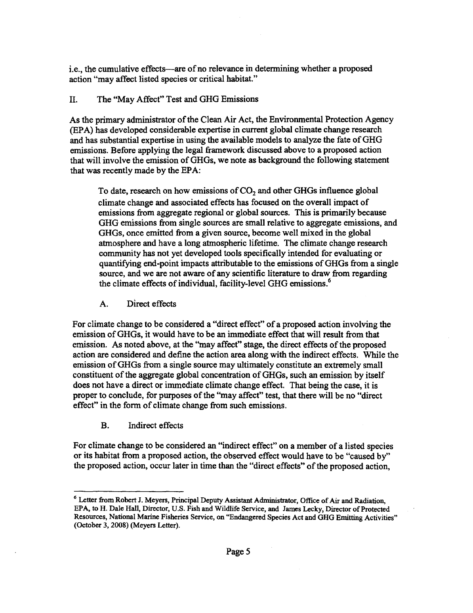i.e., the cumulative effects—are of no relevance in determining whether a proposed action "may affect listed species or critical habitat."

## II. The "May Affect" Test and GHG Emissions

As the primary administrator of the Clean Air Act, the Environmental Protection Agency (EPA) has developed considerable expertise in current global climate change research and has substantial expertise in using the available models to analyze the fate ofGHG emissions. Before applying the legal framework discussed above to a proposed action that will involve the emission ofGHGs, we note as background the following statement that was recently made by the EPA:

To date, research on how emissions of  $CO<sub>2</sub>$  and other GHGs influence global climate change and associated effects has focused on the overall impact of emissions from aggregate regional or global sources. This is primarily because GHG emissions from single sources are small relative to aggregate emissions, and GHGs, once emitted from a given source, become well mixed in the global atmosphere and have a long atmospheric lifetime. The climate change research community has not yet developed tools specifically intended for evaluating or quantifying end-point impacts attributable to the emissions ofGHGs from a single source, and we are not aware of any scientific literature to draw from regarding the climate effects of individual, facility-level GHG emissions.<sup>6</sup>

A. Direct effects

For climate change to be considered a "direct effect" of a proposed action involving the emission ofGHGs, it would have to be an immediate effect that will result from that emission. As noted above, at the "may affect" stage, the direct effects of the proposed action are considered and define the action area along with the indirect effects. While the emission ofGHGs from a single source may ultimately constitute an extremely small constituent of the aggregate global concentration of GHGs, such an emission by itself does not have a direct or immediate climate change effect. That being the case, it is proper to conclude, for purposes ofthe "may affect" test, that there will be no "direct effect" in the form of climate change from such emissions.

B. Indirect effects

For climate change to be considered an "indirect effect" on a member of a listed species or its habitat from a proposed action, the observed effect would have to be "caused by" the proposed action, occur later in time than the "direct effects" of the proposed action,

<sup>&</sup>lt;sup>6</sup> Letter from Robert J. Meyers, Principal Deputy Assistant Administrator, Office of Air and Radiation, EPA, to H. Dale Hall, Director, U.S. Fish and Wildlife Service, and James Lecky, Director of Protected Resources, National Marine Fisheries Service, on "Endangered Species Act and GHG Emitting Activities" (October 3, 2008) (Meyers Letter).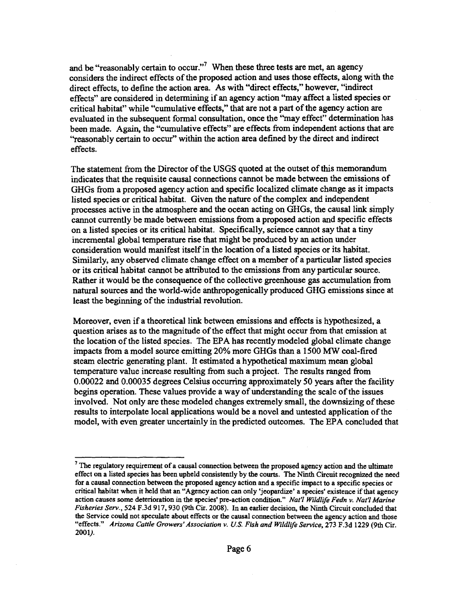and be "reasonably certain to occur."<sup>7</sup> When these three tests are met, an agency considers the indirect effects of the proposed action and uses those effects, along with the direct effects, to define the action area. As with "direct effects," however, "indirect effects" are considered in detennining if an agency action "may affect a listed species or critical habitat" while "cumulative effects," that are not a part of the agency action are evaluated in the subsequent formal consultation, once the "may effect" determination has been made. Again, the "cumulative effects" are effects from independent actions that are ''reasonably certain to occur" within the action area defined by the direct and indirect effects.

The statement from the Director of the USGS quoted at the outset of this memorandum indicates that the requisite causal connections cannot be made between the emissions of GHGs from a proposed agency action and specific localized climate change as it impacts listed species or critical habitat. Given the nature of the complex and independent processes active in the atmosphere and the ocean acting on GHGs, the causal link simply cannot currently be made between emissions from a proposed action and specific effects on a listed species or its critical habitat. Specifically, science cannot say that a tiny incremental global temperature rise that might be produced by an action under consideration would manifest itselfin the location of a listed species or its habitat. Similarly, any observed climate change effect on a member of a particular listed species or its critical habitat cannot be attributed to the emissions from any particular source. Rather it would be the consequence of the collective greenhouse gas accumulation from natural sources and the world-wide anthropogenically produced GHG emissions since at least the beginning of the industrial revolution.

Moreover, even if a theoretical link between emissions and effects is hypothesized, a question arises as to the magnitude of the effect that might occur from that emission at the location of the listed species. The EPA has recently modeled global climate change impacts from a model source emitting 20% more GHGs than a 1500 MW coal-fired steam electric generating plant. It estimated a hypothetical maximum mean global temperature value increase resulting from such a project. The results ranged from 0.00022 and 0.00035 degrees Celsius occurring approximately 50 years after the facility begins operation. These values provide a way of understanding the scale of the issues involved. Not only are these modeled changes extremely small, the downsizing of these results to interpolate local applications would be a novel and untested application of the model, with even greater uncertainly in the predicted outcomes. The EPA concluded that

 $7$  The regulatory requirement of a causal connection between the proposed agency action and the ultimate effect on a listed species has been upheld consistently by the courts. The Ninth Circuit recognized the need for a causal connection between the proposed agency action and a specific impact to a specific species or critical habitat when it held that an "Agency action can only 'jeopardize' a species' existence if that agency action causes some deterioration in the species' pre-action condition." *Nat'l Wildlife Fedn v. Nat'l Marine Fisheries Serv.,* 524 F.3d 917, 930 (9th Cir. 2008). In an earlier decision, the Ninth Circuit concluded that the Service could not speculate about effects or the causal connection between the agency action and those "effects." *Arizona Cattle Growers' Association v. U.S. Fish and Wildlife Service,* 273 F.3d 1229 (9th Cir. 2001).